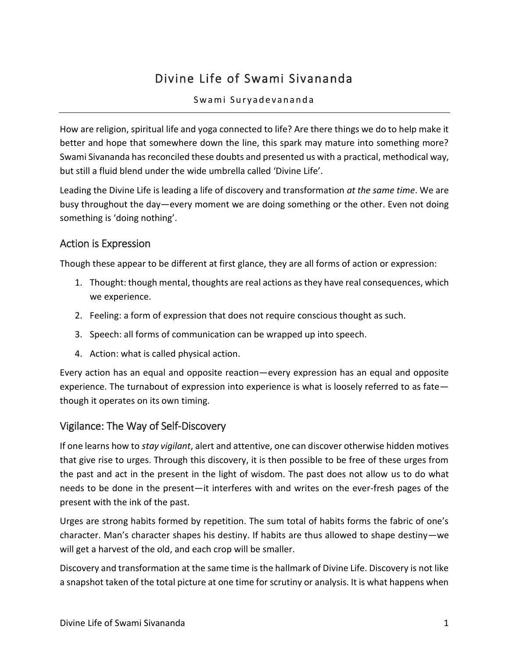# Divine Life of Swami Sivananda

#### Swami Suryadevananda

How are religion, spiritual life and yoga connected to life? Are there things we do to help make it better and hope that somewhere down the line, this spark may mature into something more? Swami Sivananda has reconciled these doubts and presented us with a practical, methodical way, but still a fluid blend under the wide umbrella called 'Divine Life'.

Leading the Divine Life is leading a life of discovery and transformation *at the same time*. We are busy throughout the day—every moment we are doing something or the other. Even not doing something is 'doing nothing'.

### Action is Expression

Though these appear to be different at first glance, they are all forms of action or expression:

- 1. Thought: though mental, thoughts are real actions as they have real consequences, which we experience.
- 2. Feeling: a form of expression that does not require conscious thought as such.
- 3. Speech: all forms of communication can be wrapped up into speech.
- 4. Action: what is called physical action.

Every action has an equal and opposite reaction—every expression has an equal and opposite experience. The turnabout of expression into experience is what is loosely referred to as fate though it operates on its own timing.

# Vigilance: The Way of Self-Discovery

If one learns how to *stay vigilant*, alert and attentive, one can discover otherwise hidden motives that give rise to urges. Through this discovery, it is then possible to be free of these urges from the past and act in the present in the light of wisdom. The past does not allow us to do what needs to be done in the present—it interferes with and writes on the ever-fresh pages of the present with the ink of the past.

Urges are strong habits formed by repetition. The sum total of habits forms the fabric of one's character. Man's character shapes his destiny. If habits are thus allowed to shape destiny—we will get a harvest of the old, and each crop will be smaller.

Discovery and transformation at the same time is the hallmark of Divine Life. Discovery is not like a snapshot taken of the total picture at one time for scrutiny or analysis. It is what happens when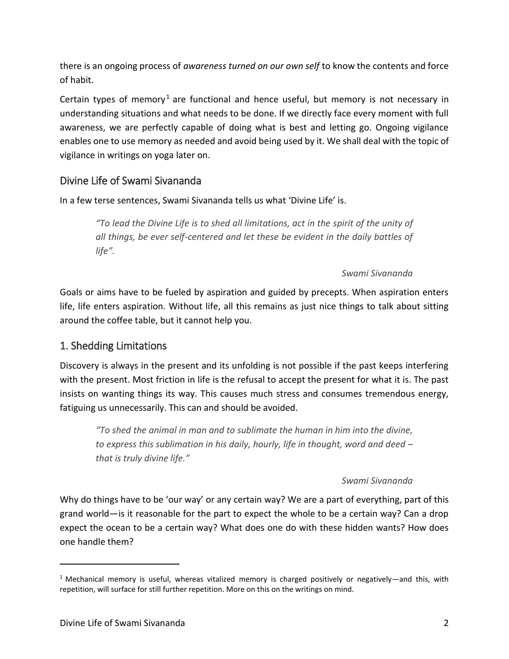there is an ongoing process of *awareness turned on our own self* to know the contents and force of habit.

Certain types of memory<sup>1</sup> are functional and hence useful, but memory is not necessary in understanding situations and what needs to be done. If we directly face every moment with full awareness, we are perfectly capable of doing what is best and letting go. Ongoing vigilance enables one to use memory as needed and avoid being used by it. We shall deal with the topic of vigilance in writings on yoga later on.

# Divine Life of Swami Sivananda

In a few terse sentences, Swami Sivananda tells us what 'Divine Life' is.

*"To lead the Divine Life is to shed all limitations, act in the spirit of the unity of all things, be ever self-centered and let these be evident in the daily battles of life".*

### *Swami Sivananda*

Goals or aims have to be fueled by aspiration and guided by precepts. When aspiration enters life, life enters aspiration. Without life, all this remains as just nice things to talk about sitting around the coffee table, but it cannot help you.

# 1. Shedding Limitations

Discovery is always in the present and its unfolding is not possible if the past keeps interfering with the present. Most friction in life is the refusal to accept the present for what it is. The past insists on wanting things its way. This causes much stress and consumes tremendous energy, fatiguing us unnecessarily. This can and should be avoided.

*"To shed the animal in man and to sublimate the human in him into the divine, to express this sublimation in his daily, hourly, life in thought, word and deed – that is truly divine life."*

### *Swami Sivananda*

Why do things have to be 'our way' or any certain way? We are a part of everything, part of this grand world—is it reasonable for the part to expect the whole to be a certain way? Can a drop expect the ocean to be a certain way? What does one do with these hidden wants? How does one handle them?

 $\overline{a}$ 

<sup>&</sup>lt;sup>1</sup> Mechanical memory is useful, whereas vitalized memory is charged positively or negatively—and this, with repetition, will surface for still further repetition. More on this on the writings on mind.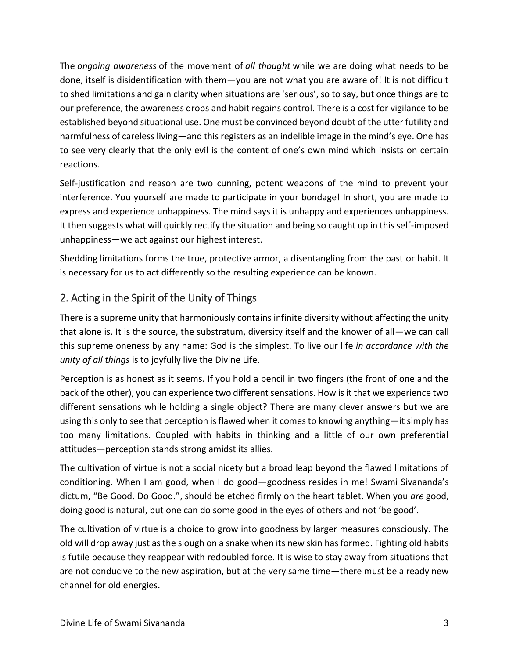The *ongoing awareness* of the movement of *all thought* while we are doing what needs to be done, itself is disidentification with them—you are not what you are aware of! It is not difficult to shed limitations and gain clarity when situations are 'serious', so to say, but once things are to our preference, the awareness drops and habit regains control. There is a cost for vigilance to be established beyond situational use. One must be convinced beyond doubt of the utter futility and harmfulness of careless living—and this registers as an indelible image in the mind's eye. One has to see very clearly that the only evil is the content of one's own mind which insists on certain reactions.

Self-justification and reason are two cunning, potent weapons of the mind to prevent your interference. You yourself are made to participate in your bondage! In short, you are made to express and experience unhappiness. The mind says it is unhappy and experiences unhappiness. It then suggests what will quickly rectify the situation and being so caught up in this self-imposed unhappiness—we act against our highest interest.

Shedding limitations forms the true, protective armor, a disentangling from the past or habit. It is necessary for us to act differently so the resulting experience can be known.

# 2. Acting in the Spirit of the Unity of Things

There is a supreme unity that harmoniously contains infinite diversity without affecting the unity that alone is. It is the source, the substratum, diversity itself and the knower of all—we can call this supreme oneness by any name: God is the simplest. To live our life *in accordance with the unity of all things* is to joyfully live the Divine Life.

Perception is as honest as it seems. If you hold a pencil in two fingers (the front of one and the back of the other), you can experience two different sensations. How is it that we experience two different sensations while holding a single object? There are many clever answers but we are using this only to see that perception is flawed when it comes to knowing anything—it simply has too many limitations. Coupled with habits in thinking and a little of our own preferential attitudes—perception stands strong amidst its allies.

The cultivation of virtue is not a social nicety but a broad leap beyond the flawed limitations of conditioning. When I am good, when I do good—goodness resides in me! Swami Sivananda's dictum, "Be Good. Do Good.", should be etched firmly on the heart tablet. When you *are* good, doing good is natural, but one can do some good in the eyes of others and not 'be good'.

The cultivation of virtue is a choice to grow into goodness by larger measures consciously. The old will drop away just as the slough on a snake when its new skin has formed. Fighting old habits is futile because they reappear with redoubled force. It is wise to stay away from situations that are not conducive to the new aspiration, but at the very same time—there must be a ready new channel for old energies.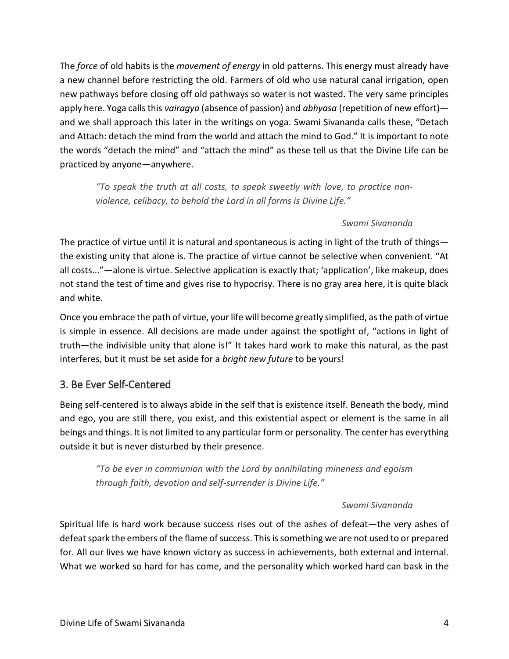The *force* of old habits is the *movement of energy* in old patterns. This energy must already have a new channel before restricting the old. Farmers of old who use natural canal irrigation, open new pathways before closing off old pathways so water is not wasted. The very same principles apply here. Yoga calls this *vairagya* (absence of passion) and *abhyasa* (repetition of new effort) and we shall approach this later in the writings on yoga. Swami Sivananda calls these, "Detach and Attach: detach the mind from the world and attach the mind to God." It is important to note the words "detach the mind" and "attach the mind" as these tell us that the Divine Life can be practiced by anyone—anywhere.

*"To speak the truth at all costs, to speak sweetly with love, to practice nonviolence, celibacy, to behold the Lord in all forms is Divine Life."*

### *Swami Sivananda*

The practice of virtue until it is natural and spontaneous is acting in light of the truth of things the existing unity that alone is. The practice of virtue cannot be selective when convenient. "At all costs..."—alone is virtue. Selective application is exactly that; 'application', like makeup, does not stand the test of time and gives rise to hypocrisy. There is no gray area here, it is quite black and white.

Once you embrace the path of virtue, your life will become greatly simplified, as the path of virtue is simple in essence. All decisions are made under against the spotlight of, "actions in light of truth—the indivisible unity that alone is!" It takes hard work to make this natural, as the past interferes, but it must be set aside for a *bright new future* to be yours!

# 3. Be Ever Self-Centered

Being self-centered is to always abide in the self that is existence itself. Beneath the body, mind and ego, you are still there, you exist, and this existential aspect or element is the same in all beings and things. It is not limited to any particular form or personality. The center has everything outside it but is never disturbed by their presence.

*"To be ever in communion with the Lord by annihilating mineness and egoism through faith, devotion and self-surrender is Divine Life."*

### *Swami Sivananda*

Spiritual life is hard work because success rises out of the ashes of defeat—the very ashes of defeat spark the embers of the flame of success. This is something we are not used to or prepared for. All our lives we have known victory as success in achievements, both external and internal. What we worked so hard for has come, and the personality which worked hard can bask in the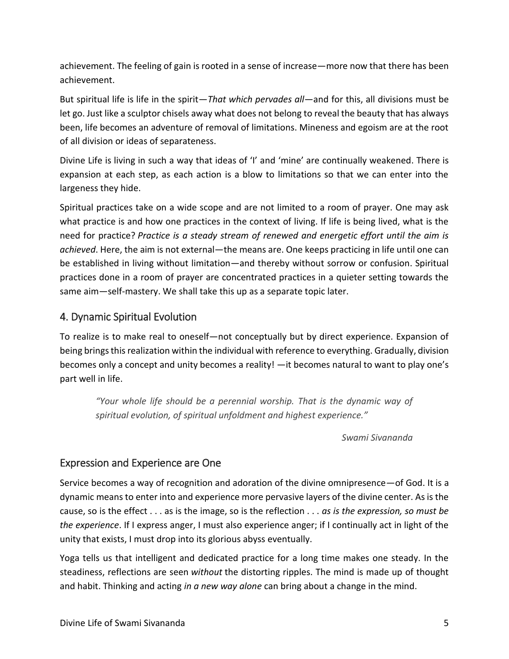achievement. The feeling of gain is rooted in a sense of increase—more now that there has been achievement.

But spiritual life is life in the spirit—*That which pervades all*—and for this, all divisions must be let go. Just like a sculptor chisels away what does not belong to reveal the beauty that has always been, life becomes an adventure of removal of limitations. Mineness and egoism are at the root of all division or ideas of separateness.

Divine Life is living in such a way that ideas of 'I' and 'mine' are continually weakened. There is expansion at each step, as each action is a blow to limitations so that we can enter into the largeness they hide.

Spiritual practices take on a wide scope and are not limited to a room of prayer. One may ask what practice is and how one practices in the context of living. If life is being lived, what is the need for practice? *Practice is a steady stream of renewed and energetic effort until the aim is achieved*. Here, the aim is not external—the means are. One keeps practicing in life until one can be established in living without limitation—and thereby without sorrow or confusion. Spiritual practices done in a room of prayer are concentrated practices in a quieter setting towards the same aim—self-mastery. We shall take this up as a separate topic later.

# 4. Dynamic Spiritual Evolution

To realize is to make real to oneself—not conceptually but by direct experience. Expansion of being brings this realization within the individual with reference to everything. Gradually, division becomes only a concept and unity becomes a reality! —it becomes natural to want to play one's part well in life.

*"Your whole life should be a perennial worship. That is the dynamic way of spiritual evolution, of spiritual unfoldment and highest experience."*

*Swami Sivananda*

# Expression and Experience are One

Service becomes a way of recognition and adoration of the divine omnipresence—of God. It is a dynamic means to enter into and experience more pervasive layers of the divine center. As is the cause, so is the effect . . . as is the image, so is the reflection . . . *as is the expression, so must be the experience*. If I express anger, I must also experience anger; if I continually act in light of the unity that exists, I must drop into its glorious abyss eventually.

Yoga tells us that intelligent and dedicated practice for a long time makes one steady. In the steadiness, reflections are seen *without* the distorting ripples. The mind is made up of thought and habit. Thinking and acting *in a new way alone* can bring about a change in the mind.